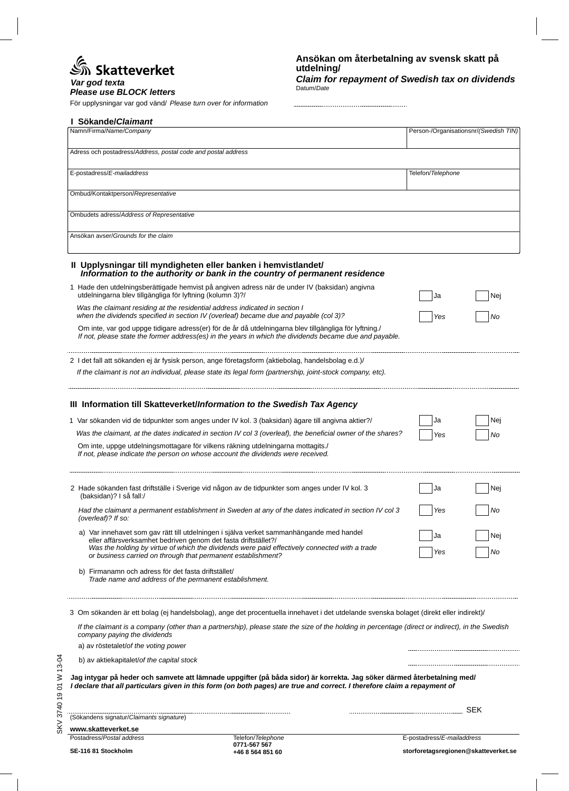# మ్ Skatteverket

### $P$ *lease use BLOCK letters Var god texta*

För upplysningar var god vänd/ *Please turn over for information*

| Namn/Firma/Name/Company                                                                                                                                                                                                                             |     | Person-/Organisationsnr/(Swedish TIN) |  |
|-----------------------------------------------------------------------------------------------------------------------------------------------------------------------------------------------------------------------------------------------------|-----|---------------------------------------|--|
| Adress och postadress/Address, postal code and postal address                                                                                                                                                                                       |     |                                       |  |
| E-postadress/E-mailaddress                                                                                                                                                                                                                          |     | Telefon/Telephone                     |  |
| Ombud/Kontaktperson/Representative                                                                                                                                                                                                                  |     |                                       |  |
| Ombudets adress/Address of Representative                                                                                                                                                                                                           |     |                                       |  |
| Ansökan avser/Grounds for the claim                                                                                                                                                                                                                 |     |                                       |  |
| II Upplysningar till myndigheten eller banken i hemvistlandet/<br>Information to the authority or bank in the country of permanent residence                                                                                                        |     |                                       |  |
| 1 Hade den utdelningsberättigade hemvist på angiven adress när de under IV (baksidan) angivna<br>utdelningarna blev tillgängliga för lyftning (kolumn 3)?/                                                                                          | Ja  | Nei                                   |  |
| Was the claimant residing at the residential address indicated in section I<br>when the dividends specified in section IV (overleaf) became due and payable (col 3)?                                                                                | Yes | No                                    |  |
| Om inte, var god uppge tidigare adress(er) för de år då utdelningarna blev tillgängliga för lyftning./<br>If not, please state the former address(es) in the years in which the dividends became due and payable.                                   |     |                                       |  |
| 2 I det fall att sökanden ej är fysisk person, ange företagsform (aktiebolag, handelsbolag e.d.)/<br>If the claimant is not an individual, please state its legal form (partnership, joint-stock company, etc).                                     |     |                                       |  |
| III Information till Skatteverket/Information to the Swedish Tax Agency                                                                                                                                                                             |     |                                       |  |
| 1 Var sökanden vid de tidpunkter som anges under IV kol. 3 (baksidan) ägare till angivna aktier?/                                                                                                                                                   | Ja  | Nej                                   |  |
| Was the claimant, at the dates indicated in section IV col 3 (overleaf), the beneficial owner of the shares?                                                                                                                                        | Yes | No                                    |  |
| Om inte, uppge utdelningsmottagare för vilkens räkning utdelningarna mottagits./<br>If not, please indicate the person on whose account the dividends were received.                                                                                |     |                                       |  |
| 2 Hade sökanden fast driftställe i Sverige vid någon av de tidpunkter som anges under IV kol. 3<br>(baksidan)? I så fall:/                                                                                                                          | Ja  | Nej                                   |  |
| Had the claimant a permanent establishment in Sweden at any of the dates indicated in section IV col 3<br>(overleaf)? If so:                                                                                                                        | Yes | No                                    |  |
| a) Var innehavet som gav rätt till utdelningen i själva verket sammanhängande med handel                                                                                                                                                            | Ja  | Nej                                   |  |
| eller affärsverksamhet bedriven genom det fasta driftstället?/<br>Was the holding by virtue of which the dividends were paid effectively connected with a trade<br>or business carried on through that permanent establishment?                     | Yes | No                                    |  |
| b) Firmanamn och adress för det fasta driftstället/<br>Trade name and address of the permanent establishment.                                                                                                                                       |     |                                       |  |
| 3 Om sökanden är ett bolag (ej handelsbolag), ange det procentuella innehavet i det utdelande svenska bolaget (direkt eller indirekt)/                                                                                                              |     |                                       |  |
| If the claimant is a company (other than a partnership), please state the size of the holding in percentage (direct or indirect), in the Swedish<br>company paying the dividends<br>a) av röstetalet/of the voting power                            |     |                                       |  |
| b) av aktiekapitalet/of the capital stock                                                                                                                                                                                                           |     |                                       |  |
| Jag intygar på heder och samvete att lämnade uppgifter (på båda sidor) är korrekta. Jag söker därmed återbetalning med/<br>I declare that all particulars given in this form (on both pages) are true and correct. I therefore claim a repayment of |     |                                       |  |
|                                                                                                                                                                                                                                                     |     |                                       |  |
| (Sökandens signatur/Claimants signature)                                                                                                                                                                                                            |     |                                       |  |